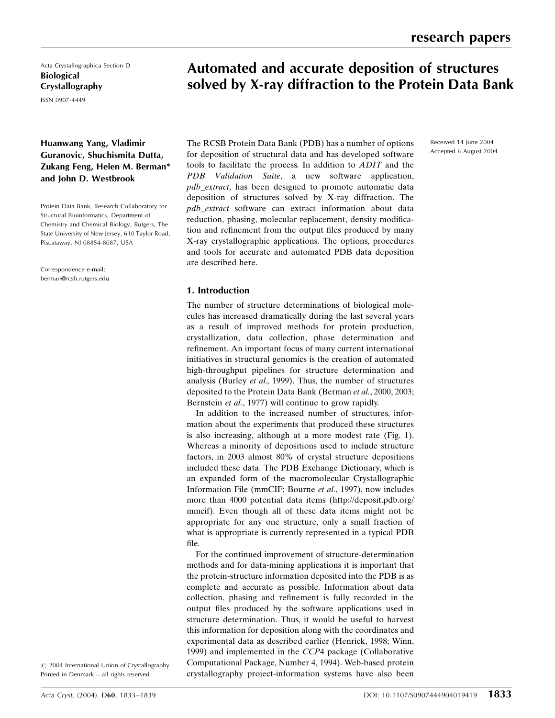Received 14 June 2004 Accepted 6 August 2004

Acta Crystallographica Section D Biological Crystallography

ISSN 0907-4449

# Huanwang Yang, Vladimir Guranovic, Shuchismita Dutta, Zukang Feng, Helen M. Berman\* and John D. Westbrook

Protein Data Bank, Research Collaboratory for Structural Bioinformatics, Department of Chemistry and Chemical Biology, Rutgers, The State University of New Jersey, 610 Taylor Road, Piscataway, NJ 08854-8087, USA

Correspondence e-mail: berman@rcsb.rutgers.edu

The RCSB Protein Data Bank (PDB) has a number of options for deposition of structural data and has developed software tools to facilitate the process. In addition to ADIT and the PDB Validation Suite, a new software application, pdb\_extract, has been designed to promote automatic data deposition of structures solved by X-ray diffraction. The pdb\_extract software can extract information about data reduction, phasing, molecular replacement, density modification and refinement from the output files produced by many X-ray crystallographic applications. The options, procedures and tools for accurate and automated PDB data deposition are described here.

Automated and accurate deposition of structures solved by X-ray diffraction to the Protein Data Bank

### 1. Introduction

The number of structure determinations of biological molecules has increased dramatically during the last several years as a result of improved methods for protein production, crystallization, data collection, phase determination and refinement. An important focus of many current international initiatives in structural genomics is the creation of automated high-throughput pipelines for structure determination and analysis (Burley et al., 1999). Thus, the number of structures deposited to the Protein Data Bank (Berman et al., 2000, 2003; Bernstein et al., 1977) will continue to grow rapidly.

In addition to the increased number of structures, information about the experiments that produced these structures is also increasing, although at a more modest rate (Fig. 1). Whereas a minority of depositions used to include structure factors, in 2003 almost 80% of crystal structure depositions included these data. The PDB Exchange Dictionary, which is an expanded form of the macromolecular Crystallographic Information File (mmCIF; Bourne et al., 1997), now includes more than 4000 potential data items (http://deposit.pdb.org/ mmcif). Even though all of these data items might not be appropriate for any one structure, only a small fraction of what is appropriate is currently represented in a typical PDB file.

For the continued improvement of structure-determination methods and for data-mining applications it is important that the protein-structure information deposited into the PDB is as complete and accurate as possible. Information about data collection, phasing and refinement is fully recorded in the output files produced by the software applications used in structure determination. Thus, it would be useful to harvest this information for deposition along with the coordinates and experimental data as described earlier (Henrick, 1998; Winn, 1999) and implemented in the CCP4 package (Collaborative Computational Package, Number 4, 1994). Web-based protein crystallography project-information systems have also been

 $\odot$  2004 International Union of Crystallography Printed in Denmark - all rights reserved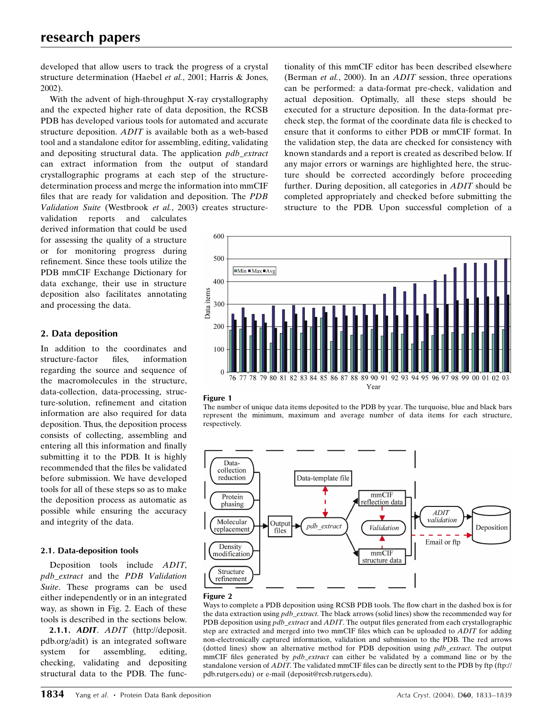developed that allow users to track the progress of a crystal structure determination (Haebel et al., 2001; Harris & Jones, 2002).

With the advent of high-throughput X-ray crystallography and the expected higher rate of data deposition, the RCSB PDB has developed various tools for automated and accurate structure deposition. ADIT is available both as a web-based tool and a standalone editor for assembling, editing, validating and depositing structural data. The application pdb\_extract can extract information from the output of standard crystallographic programs at each step of the structuredetermination process and merge the information into mmCIF files that are ready for validation and deposition. The PDB Validation Suite (Westbrook et al., 2003) creates structure-

validation reports and calculates derived information that could be used for assessing the quality of a structure or for monitoring progress during refinement. Since these tools utilize the PDB mmCIF Exchange Dictionary for data exchange, their use in structure deposition also facilitates annotating and processing the data.

## 2. Data deposition

In addition to the coordinates and structure-factor files, information regarding the source and sequence of the macromolecules in the structure, data-collection, data-processing, structure-solution, refinement and citation information are also required for data deposition. Thus, the deposition process consists of collecting, assembling and entering all this information and finally submitting it to the PDB. It is highly recommended that the files be validated before submission. We have developed tools for all of these steps so as to make the deposition process as automatic as possible while ensuring the accuracy and integrity of the data.

## 2.1. Data-deposition tools

Deposition tools include ADIT, pdb\_extract and the PDB Validation Suite. These programs can be used either independently or in an integrated way, as shown in Fig. 2. Each of these tools is described in the sections below.

2.1.1. ADIT. ADIT (http://deposit. pdb.org/adit) is an integrated software system for assembling, editing, checking, validating and depositing structural data to the PDB. The functionality of this mmCIF editor has been described elsewhere (Berman et al., 2000). In an *ADIT* session, three operations can be performed: a data-format pre-check, validation and actual deposition. Optimally, all these steps should be executed for a structure deposition. In the data-format precheck step, the format of the coordinate data file is checked to ensure that it conforms to either PDB or mmCIF format. In the validation step, the data are checked for consistency with known standards and a report is created as described below. If any major errors or warnings are highlighted here, the structure should be corrected accordingly before proceeding further. During deposition, all categories in ADIT should be completed appropriately and checked before submitting the structure to the PDB. Upon successful completion of a









### Figure 2

Ways to complete a PDB deposition using RCSB PDB tools. The flow chart in the dashed box is for the data extraction using *pdb\_extract*. The black arrows (solid lines) show the recommended way for PDB deposition using  $pdb\_extract$  and  $ADIT$ . The output files generated from each crystallographic step are extracted and merged into two mmCIF files which can be uploaded to ADIT for adding non-electronically captured information, validation and submission to the PDB. The red arrows (dotted lines) show an alternative method for PDB deposition using pdb\_extract. The output mmCIF files generated by  $pdb\_extract$  can either be validated by a command line or by the standalone version of  $ADIT$ . The validated mmCIF files can be directly sent to the PDB by ftp (ftp:// pdb.rutgers.edu) or e-mail (deposit@rcsb.rutgers.edu).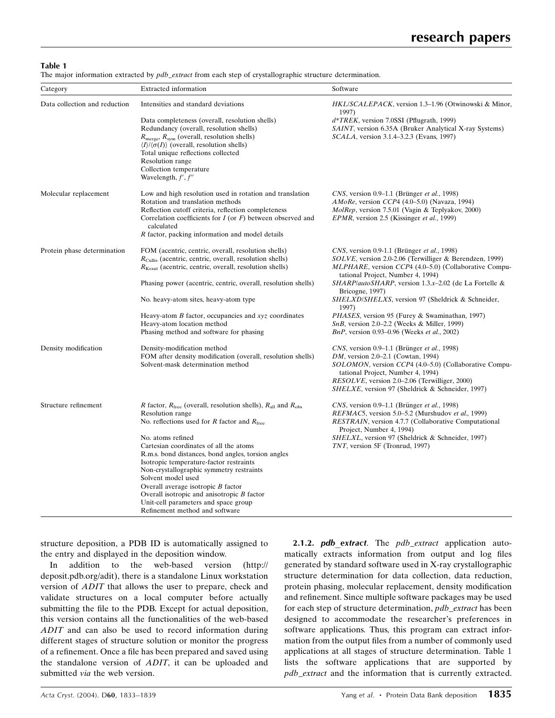Table 1

The major information extracted by  $pdb\_extract$  from each step of crystallographic structure determination.

| Category                      | Extracted information                                                                                                                                                                                                                                                                                                                                                                            | Software                                                                                                                                                                                                                                                                                                             |
|-------------------------------|--------------------------------------------------------------------------------------------------------------------------------------------------------------------------------------------------------------------------------------------------------------------------------------------------------------------------------------------------------------------------------------------------|----------------------------------------------------------------------------------------------------------------------------------------------------------------------------------------------------------------------------------------------------------------------------------------------------------------------|
| Data collection and reduction | Intensities and standard deviations                                                                                                                                                                                                                                                                                                                                                              | <i>HKL/SCALEPACK</i> , version 1.3–1.96 (Otwinowski & Minor,<br>1997)                                                                                                                                                                                                                                                |
|                               | Data completeness (overall, resolution shells)<br>Redundancy (overall, resolution shells)<br>$R_{\text{merge}}$ , $R_{\text{sym}}$ (overall, resolution shells)<br>$\langle I \rangle / \langle \sigma(I) \rangle$ (overall, resolution shells)<br>Total unique reflections collected<br>Resolution range<br>Collection temperature                                                              | $d*TREK$ , version 7.0SSI (Pflugrath, 1999)<br>SAINT, version 6.35A (Bruker Analytical X-ray Systems)<br><i>SCALA</i> , version 3.1.4–3.2.3 (Evans, 1997)                                                                                                                                                            |
|                               | Wavelength, $f', f''$                                                                                                                                                                                                                                                                                                                                                                            |                                                                                                                                                                                                                                                                                                                      |
| Molecular replacement         | Low and high resolution used in rotation and translation<br>Rotation and translation methods<br>Reflection cutoff criteria, reflection completeness<br>Correlation coefficients for $I$ (or $F$ ) between observed and<br>calculated<br>R factor, packing information and model details                                                                                                          | CNS, version 0.9–1.1 (Brünger et al., 1998)<br>AMoRe, version CCP4 (4.0–5.0) (Navaza, 1994)<br><i>MolRep</i> , version 7.5.01 (Vagin & Teplyakov, 2000)<br><i>EPMR</i> , version 2.5 (Kissinger <i>et al.</i> , 1999)                                                                                                |
|                               |                                                                                                                                                                                                                                                                                                                                                                                                  |                                                                                                                                                                                                                                                                                                                      |
| Protein phase determination   | FOM (acentric, centric, overall, resolution shells)<br>$R_{\text{Cullis}}$ (acentric, centric, overall, resolution shells)<br>$R_{\text{Kraut}}$ (acentric, centric, overall, resolution shells)                                                                                                                                                                                                 | CNS, version 0.9-1.1 (Brünger et al., 1998)<br><i>SOLVE</i> , version 2.0-2.06 (Terwilliger & Berendzen, 1999)<br><i>MLPHARE</i> , version CCP4 (4.0–5.0) (Collaborative Compu-                                                                                                                                      |
|                               | Phasing power (acentric, centric, overall, resolution shells)                                                                                                                                                                                                                                                                                                                                    | tational Project, Number 4, 1994)<br>SHARP/autoSHARP, version 1.3 x-2.02 (de La Fortelle &                                                                                                                                                                                                                           |
|                               | No. heavy-atom sites, heavy-atom type                                                                                                                                                                                                                                                                                                                                                            | Bricogne, 1997)<br>SHELXD/SHELXS, version 97 (Sheldrick & Schneider,<br>1997)                                                                                                                                                                                                                                        |
|                               | Heavy-atom $B$ factor, occupancies and $xyz$ coordinates<br>Heavy-atom location method<br>Phasing method and software for phasing                                                                                                                                                                                                                                                                | <i>PHASES</i> , version 95 (Furey & Swaminathan, 1997)<br>$SnB$ , version 2.0–2.2 (Weeks & Miller, 1999)<br>BnP, version 0.93–0.96 (Weeks et al., 2002)                                                                                                                                                              |
| Density modification          | Density-modification method<br>FOM after density modification (overall, resolution shells)<br>Solvent-mask determination method                                                                                                                                                                                                                                                                  | CNS, version 0.9–1.1 (Brünger et al., 1998)<br><i>DM</i> , version 2.0–2.1 (Cowtan, 1994)<br><i>SOLOMON</i> , version <i>CCP</i> 4 (4.0–5.0) (Collaborative Compu-<br>tational Project, Number 4, 1994)<br><i>RESOLVE</i> , version 2.0–2.06 (Terwilliger, 2000)<br>SHELXE, version 97 (Sheldrick & Schneider, 1997) |
| Structure refinement          | R factor, $R_{\text{free}}$ (overall, resolution shells), $R_{\text{all}}$ and $R_{\text{obs}}$<br>Resolution range<br>No. reflections used for R factor and $R_{\text{free}}$                                                                                                                                                                                                                   | CNS, version 0.9–1.1 (Brünger et al., 1998)<br><i>REFMAC5</i> , version 5.0–5.2 (Murshudov et al., 1999)<br>RESTRAIN, version 4.7.7 (Collaborative Computational                                                                                                                                                     |
|                               | No. atoms refined<br>Cartesian coordinates of all the atoms<br>R.m.s. bond distances, bond angles, torsion angles<br>Isotropic temperature-factor restraints<br>Non-crystallographic symmetry restraints<br>Solvent model used<br>Overall average isotropic $B$ factor<br>Overall isotropic and anisotropic $B$ factor<br>Unit-cell parameters and space group<br>Refinement method and software | Project, Number 4, 1994)<br>SHELXL, version 97 (Sheldrick & Schneider, 1997)<br>TNT, version 5F (Tronrud, 1997)                                                                                                                                                                                                      |

structure deposition, a PDB ID is automatically assigned to the entry and displayed in the deposition window.

In addition to the web-based version (http:// deposit.pdb.org/adit), there is a standalone Linux workstation version of ADIT that allows the user to prepare, check and validate structures on a local computer before actually submitting the file to the PDB. Except for actual deposition, this version contains all the functionalities of the web-based ADIT and can also be used to record information during different stages of structure solution or monitor the progress of a refinement. Once a file has been prepared and saved using the standalone version of ADIT, it can be uploaded and submitted via the web version.

2.1.2. pdb\_extract. The pdb\_extract application automatically extracts information from output and log files generated by standard software used in X-ray crystallographic structure determination for data collection, data reduction, protein phasing, molecular replacement, density modification and refinement. Since multiple software packages may be used for each step of structure determination, pdb\_extract has been designed to accommodate the researcher's preferences in software applications. Thus, this program can extract information from the output files from a number of commonly used applications at all stages of structure determination. Table 1 lists the software applications that are supported by pdb\_extract and the information that is currently extracted.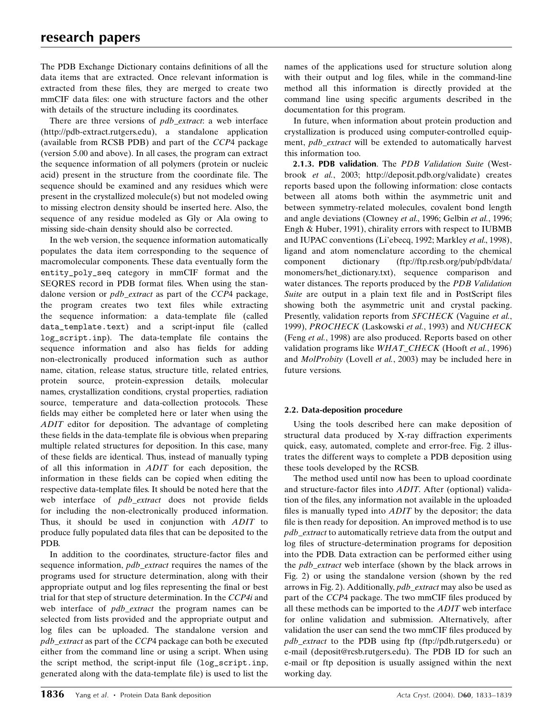The PDB Exchange Dictionary contains definitions of all the data items that are extracted. Once relevant information is extracted from these files, they are merged to create two mmCIF data files: one with structure factors and the other with details of the structure including its coordinates.

There are three versions of *pdb\_extract*: a web interface (http://pdb-extract.rutgers.edu), a standalone application (available from RCSB PDB) and part of the CCP4 package (version 5.00 and above). In all cases, the program can extract the sequence information of all polymers (protein or nucleic acid) present in the structure from the coordinate file. The sequence should be examined and any residues which were present in the crystallized molecule(s) but not modeled owing to missing electron density should be inserted here. Also, the sequence of any residue modeled as Gly or Ala owing to missing side-chain density should also be corrected.

In the web version, the sequence information automatically populates the data item corresponding to the sequence of macromolecular components. These data eventually form the entity\_poly\_seq category in mmCIF format and the SEQRES record in PDB format files. When using the standalone version or *pdb\_extract* as part of the CCP4 package, the program creates two text files while extracting the sequence information: a data-template file (called data\_template.text) and a script-input file (called log\_script.inp). The data-template file contains the sequence information and also has fields for adding non-electronically produced information such as author name, citation, release status, structure title, related entries, protein source, protein-expression details, molecular names, crystallization conditions, crystal properties, radiation source, temperature and data-collection protocols. These fields may either be completed here or later when using the ADIT editor for deposition. The advantage of completing these fields in the data-template file is obvious when preparing multiple related structures for deposition. In this case, many of these fields are identical. Thus, instead of manually typing of all this information in ADIT for each deposition, the information in these fields can be copied when editing the respective data-template files. It should be noted here that the web interface of *pdb\_extract* does not provide fields for including the non-electronically produced information. Thus, it should be used in conjunction with ADIT to produce fully populated data files that can be deposited to the PDB.

In addition to the coordinates, structure-factor files and sequence information, *pdb\_extract* requires the names of the programs used for structure determination, along with their appropriate output and log files representing the final or best trial for that step of structure determination. In the CCP4i and web interface of pdb\_extract the program names can be selected from lists provided and the appropriate output and log files can be uploaded. The standalone version and pdb\_extract as part of the CCP4 package can both be executed either from the command line or using a script. When using the script method, the script-input file (log\_script.inp, generated along with the data-template file) is used to list the

names of the applications used for structure solution along with their output and log files, while in the command-line method all this information is directly provided at the command line using specific arguments described in the documentation for this program.

In future, when information about protein production and crystallization is produced using computer-controlled equipment, *pdb\_extract* will be extended to automatically harvest this information too.

2.1.3. PDB validation. The PDB Validation Suite (Westbrook et al., 2003; http://deposit.pdb.org/validate) creates reports based upon the following information: close contacts between all atoms both within the asymmetric unit and between symmetry-related molecules, covalent bond length and angle deviations (Clowney et al., 1996; Gelbin et al., 1996; Engh & Huber, 1991), chirality errors with respect to IUBMB and IUPAC conventions (Li'ebecq, 1992; Markley et al., 1998), ligand and atom nomenclature according to the chemical component dictionary (ftp://ftp.rcsb.org/pub/pdb/data/ monomers/het\_dictionary.txt), sequence comparison and water distances. The reports produced by the PDB Validation Suite are output in a plain text file and in PostScript files showing both the asymmetric unit and crystal packing. Presently, validation reports from SFCHECK (Vaguine et al., 1999), PROCHECK (Laskowski et al., 1993) and NUCHECK (Feng et al., 1998) are also produced. Reports based on other validation programs like WHAT\_CHECK (Hooft et al., 1996) and MolProbity (Lovell et al., 2003) may be included here in future versions.

## 2.2. Data-deposition procedure

Using the tools described here can make deposition of structural data produced by X-ray diffraction experiments quick, easy, automated, complete and error-free. Fig. 2 illustrates the different ways to complete a PDB deposition using these tools developed by the RCSB.

The method used until now has been to upload coordinate and structure-factor files into ADIT. After (optional) validation of the files, any information not available in the uploaded files is manually typed into  $ADIT$  by the depositor; the data file is then ready for deposition. An improved method is to use pdb\_extract to automatically retrieve data from the output and log files of structure-determination programs for deposition into the PDB. Data extraction can be performed either using the *pdb\_extract* web interface (shown by the black arrows in Fig. 2) or using the standalone version (shown by the red arrows in Fig. 2). Additionally, pdb\_extract may also be used as part of the CCP4 package. The two mmCIF files produced by all these methods can be imported to the ADIT web interface for online validation and submission. Alternatively, after validation the user can send the two mmCIF files produced by pdb\_extract to the PDB using ftp (ftp://pdb.rutgers.edu) or e-mail (deposit@rcsb.rutgers.edu). The PDB ID for such an e-mail or ftp deposition is usually assigned within the next working day.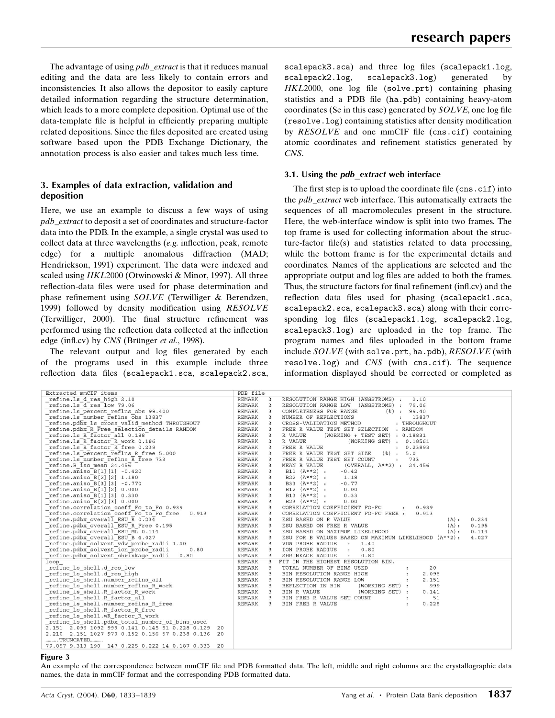The advantage of using *pdb\_extract* is that it reduces manual editing and the data are less likely to contain errors and inconsistencies. It also allows the depositor to easily capture detailed information regarding the structure determination, which leads to a more complete deposition. Optimal use of the data-template file is helpful in efficiently preparing multiple related depositions. Since the files deposited are created using software based upon the PDB Exchange Dictionary, the annotation process is also easier and takes much less time.

### 3. Examples of data extraction, validation and deposition

Here, we use an example to discuss a few ways of using pdb\_extract to deposit a set of coordinates and structure-factor data into the PDB. In the example, a single crystal was used to collect data at three wavelengths  $(e.g.$  inflection, peak, remote edge) for a multiple anomalous diffraction (MAD; Hendrickson, 1991) experiment. The data were indexed and scaled using HKL2000 (Otwinowski & Minor, 1997). All three reflection-data files were used for phase determination and phase refinement using  $SOLVE$  (Terwilliger & Berendzen, 1999) followed by density modification using  $RESOLVE$ (Terwilliger, 2000). The final structure refinement was performed using the reflection data collected at the inflection edge (infl.cv) by  $CNS$  (Brünger et al., 1998).

The relevant output and log files generated by each of the programs used in this example include three reflection data files (scalepack1.sca, scalepack2.sca, scalepack3.sca) and three log files (scalepack1.log, scalepack2.log, scalepack3.log) generated by  $HKL2000$ , one log file (solve.prt) containing phasing statistics and a PDB file (ha.pdb) containing heavy-atom coordinates (Se in this case) generated by  $SOLVE$ , one log file  $(resolve.log)$  containing statistics after density modification by  $RESOLVE$  and one mmCIF file (cns.cif) containing atomic coordinates and refinement statistics generated by CNS.

#### 3.1. Using the pdb extract web interface

The first step is to upload the coordinate file  $(\text{cns.} \text{cif})$  into the pdb\_extract web interface. This automatically extracts the sequences of all macromolecules present in the structure. Here, the web-interface window is split into two frames. The top frame is used for collecting information about the structure-factor file(s) and statistics related to data processing, while the bottom frame is for the experimental details and coordinates. Names of the applications are selected and the appropriate output and log files are added to both the frames. Thus, the structure factors for final refinement (infl.cv) and the reflection data files used for phasing (scalepack1.sca, scalepack2.sca, scalepack3.sca) along with their corresponding log files (scalepack1.log, scalepack2.log, scalepack3.log) are uploaded in the top frame. The program names and files uploaded in the bottom frame include  $SOLVE$  (with solve.prt, ha.pdb),  $RESOLVE$  (with resolve.log) and CNS (with cns.cif). The sequence information displayed should be corrected or completed as

| Extracted mmCIF items                                 | PDB file      |                         |                                                               |
|-------------------------------------------------------|---------------|-------------------------|---------------------------------------------------------------|
| refine.ls d res high 2.10                             | <b>REMARK</b> | 3                       | RESOLUTION RANGE HIGH (ANGSTROMS) :<br>2.10                   |
| refine.ls d res low 79.06                             | <b>REMARK</b> | 3                       | RESOLUTION RANGE LOW<br>(ANGSTROMS) :<br>79.06                |
| refine.ls percent reflns obs 99.400                   | <b>REMARK</b> | 3                       | COMPLETENESS FOR RANGE<br>$(\frac{6}{6})$ : 99.40             |
| refine.ls number reflns obs 13837                     | <b>REMARK</b> | 3                       | NUMBER OF REFLECTIONS<br>13837<br>$\mathbf{r}$                |
| refine.pdbx 1s cross valid method THROUGHOUT          | <b>REMARK</b> | 3                       | CROSS-VALIDATION METHOD<br>: THROUGHOUT                       |
| refine.pdbx R Free selection details RANDOM           | REMARK        | 3                       | FREE R VALUE TEST SET SELECTION<br>: RANDOM                   |
| refine.ls R factor all 0.188                          | <b>REMARK</b> | 3                       | R VALUE<br>(WORKING + TEST SET) : 0.18831                     |
| refine.ls R factor R work 0.186                       | REMARK        | $\overline{\mathbf{3}}$ | R VALUE<br>(WORKING SET) : 0.18561                            |
| refine.ls R factor R free 0.239                       | <b>REMARK</b> | $\overline{\mathbf{3}}$ | FREE R VALUE<br>: 0.23893                                     |
| refine.ls percent reflns R free 5.000                 |               | 3                       | FREE R VALUE TEST SET SIZE<br>$($ $)$ :<br>5.0                |
| refine.ls number reflns R free 733                    |               | 3                       | FREE R VALUE TEST SET COUNT<br>$\mathbf{r}$<br>733            |
| refine.B iso mean 24.456                              | REMARK        | 3                       | MEAN B VALUE<br>(OVERALL, $A**2$ ) : 24.456                   |
| refine.aniso B[1][1] -0.420                           | <b>REMARK</b> | 3                       | $B11 (A**2)$ :<br>$-0.42$                                     |
| refine.aniso B[2][2] 1.180                            | <b>REMARK</b> | 3                       | $B22 (A**2)$ :<br>1.18                                        |
| refine.aniso B[3][3] -0.770                           | <b>REMARK</b> | 3                       | $B33 (A**2)$ :<br>$-0.77$                                     |
| refine.aniso $B[1][2]$ 0.000                          | <b>REMARK</b> | 3                       | $B12 (A**2)$ :<br>0.00                                        |
| refine.aniso B[1][3] 0.330                            | <b>REMARK</b> | 3                       | B13 $(A**2)$ :<br>0.33                                        |
| refine.aniso B[2][3] 0.000                            | <b>REMARK</b> | 3                       | $B23 (A**2)$ :<br>0.00                                        |
| refine.correlation coeff Fo to Fc 0.939               | <b>REMARK</b> | 3                       | CORRELATION COEFFICIENT FO-FC<br>0.939<br>$\mathbf{r}$        |
| refine.correlation coeff Fo to Fc free<br>0.913       | <b>REMARK</b> | 3                       | CORRELATION COEFFICIENT FO-FC FREE :<br>0.913                 |
| refine.pdbx overall ESU R 0.234                       | <b>REMARK</b> | 3                       | ESU BASED ON R VALUE<br>0.234<br>(A):                         |
| refine.pdbx overall ESU R Free 0.195                  | <b>REMARK</b> | $\overline{3}$          | ESU BASED ON FREE R VALUE<br>(A):<br>0.195                    |
| refine.pdbx overall ESU ML 0.114                      | <b>REMARK</b> | 3                       | ESU BASED ON MAXIMUM LIKELIHOOD<br>(A):<br>0.114              |
| refine.pdbx overall ESU B 4.027                       | <b>REMARK</b> | 3                       | ESU FOR B VALUES BASED ON MAXIMUM LIKELIHOOD (A**2):<br>4.027 |
| refine.pdbx solvent vdw probe radii 1.40              | <b>REMARK</b> | 3                       | VDW PROBE RADIUS<br>$\sim$ 100 $\sim$<br>1.40                 |
| refine.pdbx solvent ion probe radii<br>0.80           | <b>REMARK</b> | 3                       | ION PROBE RADIUS<br>0.80<br>$\mathbf{r}$                      |
| refine.pdbx solvent shrinkage radii<br>0.80           | <b>REMARK</b> | 3                       | SHRINKAGE RADIUS<br>0.80<br>$\sim$ 1.000 $\sim$               |
| loop                                                  | <b>REMARK</b> | 3                       | FIT IN THE HIGHEST RESOLUTION BIN.                            |
| refine 1s shell.d res low                             | <b>REMARK</b> | 3                       | TOTAL NUMBER OF BINS USED<br>20                               |
| refine ls shell.d res high                            | <b>REMARK</b> | $\overline{\mathbf{3}}$ | BIN RESOLUTION RANGE HIGH<br>2.096                            |
| refine ls shell.number reflns all                     | <b>REMARK</b> | 3                       | BIN RESOLUTION RANGE LOW<br>2.151<br>$\ddot{\phantom{a}}$     |
| refine 1s shell.number reflns R work                  | <b>REMARK</b> | 3                       | REFLECTION IN BIN<br>(WORKING SET) :<br>999                   |
| refine 1s shell.R factor R work                       | REMARK        | 3                       | BIN R VALUE<br>(WORKING SET) :<br>0.141                       |
| refine 1s shell.R factor all                          | <b>REMARK</b> | 3                       | BIN FREE R VALUE SET COUNT<br>51<br>$\ddot{\phantom{a}}$      |
| refine 1s shell.number reflns R free                  | <b>REMARK</b> | 3                       | BIN FREE R VALUE<br>0.228<br>÷                                |
| refine 1s shell.R factor R free                       |               |                         |                                                               |
| refine ls shell.wR factor R work                      |               |                         |                                                               |
| refine ls shell.pdbx total number of bins used        |               |                         |                                                               |
| 2.151 2.096 1092 999 0.141 0.145 51 0.228 0.129<br>20 |               |                         |                                                               |
| 2.210 2.151 1027 970 0.152 0.156 57 0.238 0.136<br>20 |               |                         |                                                               |
| TRUNCATED                                             |               |                         |                                                               |
| 79.057 9.313 190 147 0.225 0.222 14 0.187 0.333 20    |               |                         |                                                               |

#### Figure 3

An example of the correspondence between mmCIF file and PDB formatted data. The left, middle and right columns are the crystallographic data names, the data in mmCIF format and the corresponding PDB formatted data.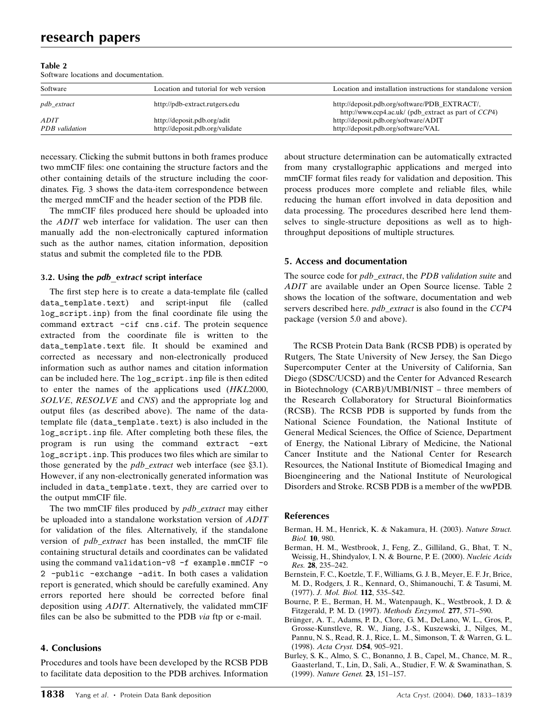#### Table 2

Software locations and documentation.

| Software           | Location and tutorial for web version | Location and installation instructions for standalone version                                         |
|--------------------|---------------------------------------|-------------------------------------------------------------------------------------------------------|
| <i>pdb_extract</i> | http://pdb-extract.rutgers.edu        | http://deposit.pdb.org/software/PDB_EXTRACT/,<br>http://www.ccp4.ac.uk/ (pdb_extract as part of CCP4) |
| ADIT               | http://deposit.pdb.org/adit           | http://deposit.pdb.org/software/ADIT                                                                  |
| PDB validation     | http://deposit.pdb.org/validate       | http://deposit.pdb.org/software/VAL                                                                   |

necessary. Clicking the submit buttons in both frames produce two mmCIF files: one containing the structure factors and the other containing details of the structure including the coordinates. Fig. 3 shows the data-item correspondence between the merged mmCIF and the header section of the PDB file.

The mmCIF files produced here should be uploaded into the ADIT web interface for validation. The user can then manually add the non-electronically captured information such as the author names, citation information, deposition status and submit the completed file to the PDB.

### 3.2. Using the *pdb* extract script interface

The first step here is to create a data-template file (called data\_template.text) and script-input file (called log\_script.inp) from the final coordinate file using the command extract -cif cns.cif. The protein sequence extracted from the coordinate file is written to the data\_template.text file. It should be examined and corrected as necessary and non-electronically produced information such as author names and citation information can be included here. The log\_script.inp file is then edited to enter the names of the applications used (HKL2000, SOLVE, RESOLVE and CNS) and the appropriate log and output files (as described above). The name of the datatemplate file (data\_template.text) is also included in the log\_script.inp file. After completing both these files, the program is run using the command extract -ext log\_script.inp. This produces two files which are similar to those generated by the  $pdb\_extract$  web interface (see §3.1). However, if any non-electronically generated information was included in data\_template.text, they are carried over to the output mmCIF file.

The two mmCIF files produced by pdb\_extract may either be uploaded into a standalone workstation version of ADIT for validation of the files. Alternatively, if the standalone version of *pdb\_extract* has been installed, the mmCIF file containing structural details and coordinates can be validated using the command validation-v8 -f example.mmCIF -o 2 -public -exchange -adit. In both cases a validation report is generated, which should be carefully examined. Any errors reported here should be corrected before final deposition using ADIT. Alternatively, the validated mmCIF files can be also be submitted to the PDB via ftp or e-mail.

## 4. Conclusions

Procedures and tools have been developed by the RCSB PDB to facilitate data deposition to the PDB archives. Information

about structure determination can be automatically extracted from many crystallographic applications and merged into mmCIF format files ready for validation and deposition. This process produces more complete and reliable files, while reducing the human effort involved in data deposition and data processing. The procedures described here lend themselves to single-structure depositions as well as to highthroughput depositions of multiple structures.

### 5. Access and documentation

The source code for pdb\_extract, the PDB validation suite and ADIT are available under an Open Source license. Table 2 shows the location of the software, documentation and web servers described here. *pdb\_extract* is also found in the CCP4 package (version 5.0 and above).

The RCSB Protein Data Bank (RCSB PDB) is operated by Rutgers, The State University of New Jersey, the San Diego Supercomputer Center at the University of California, San Diego (SDSC/UCSD) and the Center for Advanced Research in Biotechnology (CARB)/UMBI/NIST - three members of the Research Collaboratory for Structural Bioinformatics (RCSB). The RCSB PDB is supported by funds from the National Science Foundation, the National Institute of General Medical Sciences, the Office of Science, Department of Energy, the National Library of Medicine, the National Cancer Institute and the National Center for Research Resources, the National Institute of Biomedical Imaging and Bioengineering and the National Institute of Neurological Disorders and Stroke. RCSB PDB is a member of the wwPDB.

### References

- Berman, H. M., Henrick, K. & Nakamura, H. (2003). Nature Struct. Biol. 10, 980.
- Berman, H. M., Westbrook, J., Feng, Z., Gilliland, G., Bhat, T. N., Weissig, H., Shindyalov, I. N. & Bourne, P. E. (2000). Nucleic Acids Res. 28, 235–242.
- Bernstein, F. C., Koetzle, T. F., Williams, G. J. B., Meyer, E. F. Jr, Brice, M. D., Rodgers, J. R., Kennard, O., Shimanouchi, T. & Tasumi, M. (1977). J. Mol. Biol. 112, 535-542.
- Bourne, P. E., Berman, H. M., Watenpaugh, K., Westbrook, J. D. & Fitzgerald, P. M. D. (1997). Methods Enzymol. 277, 571-590.
- Brünger, A. T., Adams, P. D., Clore, G. M., DeLano, W. L., Gros, P., Grosse-Kunstleve, R. W., Jiang, J.-S., Kuszewski, J., Nilges, M., Pannu, N. S., Read, R. J., Rice, L. M., Simonson, T. & Warren, G. L. (1998). Acta Cryst. D54, 905-921.
- Burley, S. K., Almo, S. C., Bonanno, J. B., Capel, M., Chance, M. R., Gaasterland, T., Lin, D., Sali, A., Studier, F. W. & Swaminathan, S. (1999). Nature Genet. 23, 151-157.